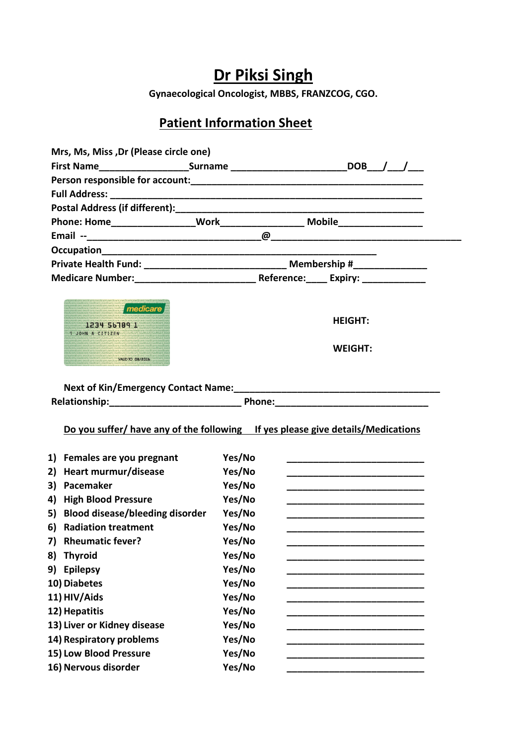## **Dr Piksi Singh**

**Gynaecological Oncologist, MBBS, FRANZCOG, CGO.**

## **Patient Information Sheet**

| Mrs, Ms, Miss, Dr (Please circle one)                                  |                                                                                  |                                                                                                                       |
|------------------------------------------------------------------------|----------------------------------------------------------------------------------|-----------------------------------------------------------------------------------------------------------------------|
|                                                                        |                                                                                  | First Name_________________________Surname _______________________________DOB___/___/____                             |
|                                                                        |                                                                                  |                                                                                                                       |
|                                                                        |                                                                                  |                                                                                                                       |
|                                                                        |                                                                                  |                                                                                                                       |
|                                                                        |                                                                                  |                                                                                                                       |
|                                                                        |                                                                                  |                                                                                                                       |
|                                                                        |                                                                                  |                                                                                                                       |
|                                                                        | Private Health Fund: ________________________________ Membership #______________ |                                                                                                                       |
|                                                                        |                                                                                  |                                                                                                                       |
| medicare<br>1234 56789 1<br>1 JOHN A CITIZEN<br><b>VAUD TO 08/2016</b> |                                                                                  | <b>HEIGHT:</b><br><b>WEIGHT:</b>                                                                                      |
|                                                                        |                                                                                  |                                                                                                                       |
|                                                                        |                                                                                  | Relationship: Phone: Phone: Phone:                                                                                    |
|                                                                        |                                                                                  | Do you suffer/ have any of the following If yes please give details/Medications                                       |
| 1)<br>Females are you pregnant                                         | Yes/No                                                                           | <u> 1989 - Johann Barbara, martin da basar da basar da basar da basar da basar da basar da basar da basar da basa</u> |
| Heart murmur/disease<br>2)                                             | Yes/No                                                                           |                                                                                                                       |
| 3)<br>Pacemaker                                                        | Yes/No                                                                           |                                                                                                                       |
| 4)<br><b>High Blood Pressure</b>                                       | Yes/No                                                                           |                                                                                                                       |
| <b>Blood disease/bleeding disorder</b><br>5)                           | Yes/No                                                                           |                                                                                                                       |
| <b>Radiation treatment</b><br>6)                                       | Yes/No                                                                           |                                                                                                                       |
| 7) Rheumatic fever?                                                    | Yes/No                                                                           |                                                                                                                       |
| <b>Thyroid</b><br>8)                                                   | Yes/No                                                                           |                                                                                                                       |
| 9)<br><b>Epilepsy</b>                                                  | Yes/No                                                                           |                                                                                                                       |
| 10) Diabetes                                                           | Yes/No                                                                           |                                                                                                                       |
| 11) HIV/Aids                                                           | Yes/No                                                                           |                                                                                                                       |
| 12) Hepatitis                                                          | Yes/No                                                                           |                                                                                                                       |
| 13) Liver or Kidney disease                                            | Yes/No                                                                           |                                                                                                                       |
| 14) Respiratory problems                                               | Yes/No                                                                           |                                                                                                                       |
| 15) Low Blood Pressure                                                 | Yes/No                                                                           |                                                                                                                       |
| 16) Nervous disorder                                                   | Yes/No                                                                           |                                                                                                                       |